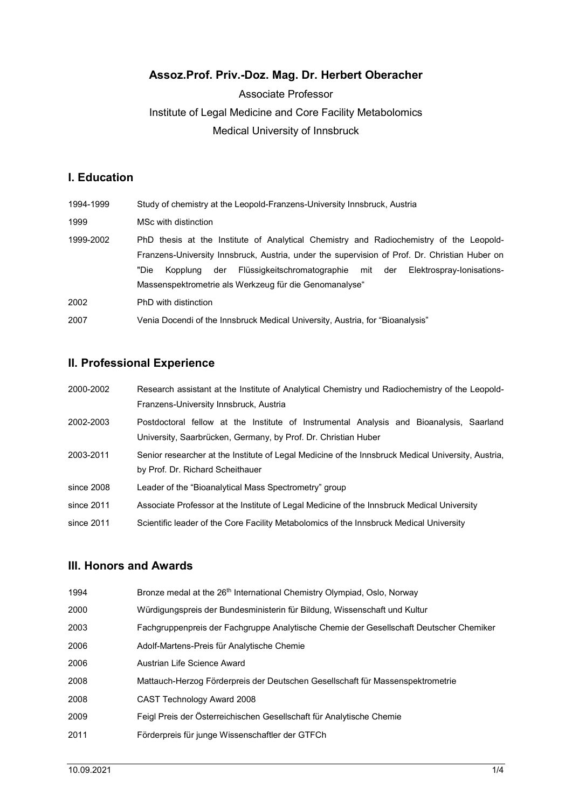# Assoz.Prof. Priv.-Doz. Mag. Dr. Herbert Oberacher

# Associate Professor Institute of Legal Medicine and Core Facility Metabolomics Medical University of Innsbruck

# I. Education

| 1994-1999 | Study of chemistry at the Leopold-Franzens-University Innsbruck, Austria                                                                                                                                                                                                                                                                         |
|-----------|--------------------------------------------------------------------------------------------------------------------------------------------------------------------------------------------------------------------------------------------------------------------------------------------------------------------------------------------------|
| 1999      | MSc with distinction                                                                                                                                                                                                                                                                                                                             |
| 1999-2002 | PhD thesis at the Institute of Analytical Chemistry and Radiochemistry of the Leopold-<br>Franzens-University Innsbruck, Austria, under the supervision of Prof. Dr. Christian Huber on<br>"Die<br>Flüssigkeitschromatographie mit der<br>Elektrospray-Ionisations-<br>der<br>Kopplung<br>Massenspektrometrie als Werkzeug für die Genomanalyse" |
| 2002      | PhD with distinction                                                                                                                                                                                                                                                                                                                             |
| 2007      | Venia Docendi of the Innsbruck Medical University, Austria, for "Bioanalysis"                                                                                                                                                                                                                                                                    |

# II. Professional Experience

| 2000-2002  | Research assistant at the Institute of Analytical Chemistry und Radiochemistry of the Leopold-     |
|------------|----------------------------------------------------------------------------------------------------|
|            | Franzens-University Innsbruck, Austria                                                             |
| 2002-2003  | Postdoctoral fellow at the Institute of Instrumental Analysis and Bioanalysis, Saarland            |
|            | University, Saarbrücken, Germany, by Prof. Dr. Christian Huber                                     |
| 2003-2011  | Senior researcher at the Institute of Legal Medicine of the Innsbruck Medical University, Austria, |
|            | by Prof. Dr. Richard Scheithauer                                                                   |
| since 2008 | Leader of the "Bioanalytical Mass Spectrometry" group                                              |
| since 2011 | Associate Professor at the Institute of Legal Medicine of the Innsbruck Medical University         |
| since 2011 | Scientific leader of the Core Facility Metabolomics of the Innsbruck Medical University            |

### III. Honors and Awards

| 1994 | Bronze medal at the 26 <sup>th</sup> International Chemistry Olympiad, Oslo, Norway    |
|------|----------------------------------------------------------------------------------------|
| 2000 | Würdigungspreis der Bundesministerin für Bildung, Wissenschaft und Kultur              |
| 2003 | Fachgruppenpreis der Fachgruppe Analytische Chemie der Gesellschaft Deutscher Chemiker |
| 2006 | Adolf-Martens-Preis für Analytische Chemie                                             |
| 2006 | Austrian Life Science Award                                                            |
| 2008 | Mattauch-Herzog Förderpreis der Deutschen Gesellschaft für Massenspektrometrie         |
| 2008 | <b>CAST Technology Award 2008</b>                                                      |
| 2009 | Feigl Preis der Österreichischen Gesellschaft für Analytische Chemie                   |
| 2011 | Förderpreis für junge Wissenschaftler der GTFCh                                        |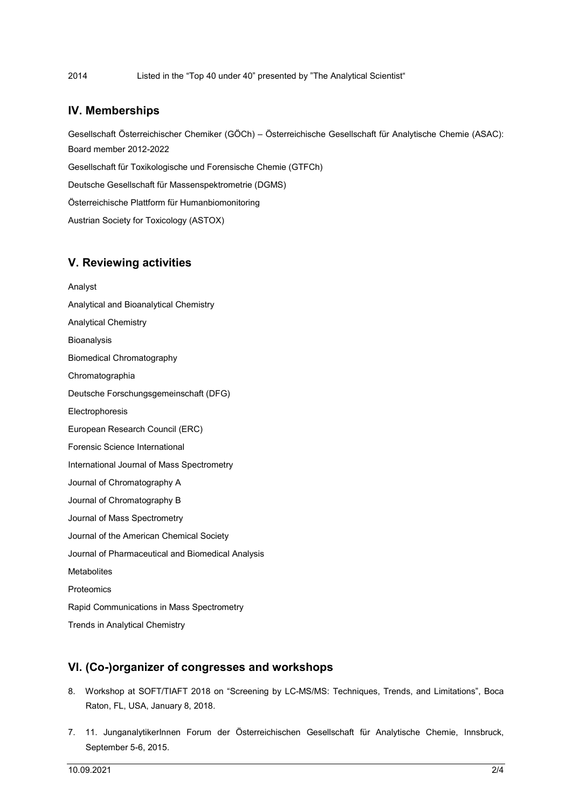2014 Listed in the "Top 40 under 40" presented by "The Analytical Scientist"

#### IV. Memberships

Gesellschaft Österreichischer Chemiker (GÖCh) – Österreichische Gesellschaft für Analytische Chemie (ASAC): Board member 2012-2022

Gesellschaft für Toxikologische und Forensische Chemie (GTFCh)

Deutsche Gesellschaft für Massenspektrometrie (DGMS)

Österreichische Plattform für Humanbiomonitoring

Austrian Society for Toxicology (ASTOX)

#### V. Reviewing activities

Analyst Analytical and Bioanalytical Chemistry Analytical Chemistry **Bioanalysis** Biomedical Chromatography Chromatographia Deutsche Forschungsgemeinschaft (DFG) Electrophoresis European Research Council (ERC) Forensic Science International International Journal of Mass Spectrometry Journal of Chromatography A Journal of Chromatography B Journal of Mass Spectrometry Journal of the American Chemical Society Journal of Pharmaceutical and Biomedical Analysis **Metabolites** Proteomics Rapid Communications in Mass Spectrometry Trends in Analytical Chemistry

#### VI. (Co-)organizer of congresses and workshops

- 8. Workshop at SOFT/TIAFT 2018 on "Screening by LC-MS/MS: Techniques, Trends, and Limitations", Boca Raton, FL, USA, January 8, 2018.
- 7. 11. JunganalytikerInnen Forum der Österreichischen Gesellschaft für Analytische Chemie, Innsbruck, September 5-6, 2015.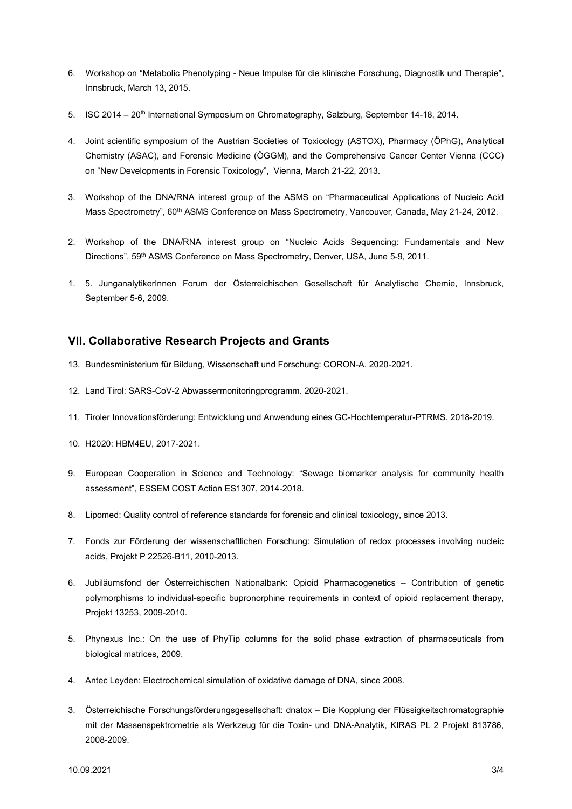- 6. Workshop on "Metabolic Phenotyping Neue Impulse für die klinische Forschung, Diagnostik und Therapie", Innsbruck, March 13, 2015.
- 5. ISC 2014 20<sup>th</sup> International Symposium on Chromatography, Salzburg, September 14-18, 2014.
- 4. Joint scientific symposium of the Austrian Societies of Toxicology (ASTOX), Pharmacy (ÖPhG), Analytical Chemistry (ASAC), and Forensic Medicine (ÖGGM), and the Comprehensive Cancer Center Vienna (CCC) on "New Developments in Forensic Toxicology", Vienna, March 21-22, 2013.
- 3. Workshop of the DNA/RNA interest group of the ASMS on "Pharmaceutical Applications of Nucleic Acid Mass Spectrometry", 60<sup>th</sup> ASMS Conference on Mass Spectrometry, Vancouver, Canada, May 21-24, 2012.
- 2. Workshop of the DNA/RNA interest group on "Nucleic Acids Sequencing: Fundamentals and New Directions", 59<sup>th</sup> ASMS Conference on Mass Spectrometry, Denver, USA, June 5-9, 2011.
- 1. 5. JunganalytikerInnen Forum der Österreichischen Gesellschaft für Analytische Chemie, Innsbruck, September 5-6, 2009.

### VII. Collaborative Research Projects and Grants

- 13. Bundesministerium für Bildung, Wissenschaft und Forschung: CORON-A. 2020-2021.
- 12. Land Tirol: SARS-CoV-2 Abwassermonitoringprogramm. 2020-2021.
- 11. Tiroler Innovationsförderung: Entwicklung und Anwendung eines GC-Hochtemperatur-PTRMS. 2018-2019.
- 10. H2020: HBM4EU, 2017-2021.
- 9. European Cooperation in Science and Technology: "Sewage biomarker analysis for community health assessment", ESSEM COST Action ES1307, 2014-2018.
- 8. Lipomed: Quality control of reference standards for forensic and clinical toxicology, since 2013.
- 7. Fonds zur Förderung der wissenschaftlichen Forschung: Simulation of redox processes involving nucleic acids, Projekt P 22526-B11, 2010-2013.
- 6. Jubiläumsfond der Österreichischen Nationalbank: Opioid Pharmacogenetics Contribution of genetic polymorphisms to individual-specific bupronorphine requirements in context of opioid replacement therapy, Projekt 13253, 2009-2010.
- 5. Phynexus Inc.: On the use of PhyTip columns for the solid phase extraction of pharmaceuticals from biological matrices, 2009.
- 4. Antec Leyden: Electrochemical simulation of oxidative damage of DNA, since 2008.
- 3. Österreichische Forschungsförderungsgesellschaft: dnatox Die Kopplung der Flüssigkeitschromatographie mit der Massenspektrometrie als Werkzeug für die Toxin- und DNA-Analytik, KIRAS PL 2 Projekt 813786, 2008-2009.